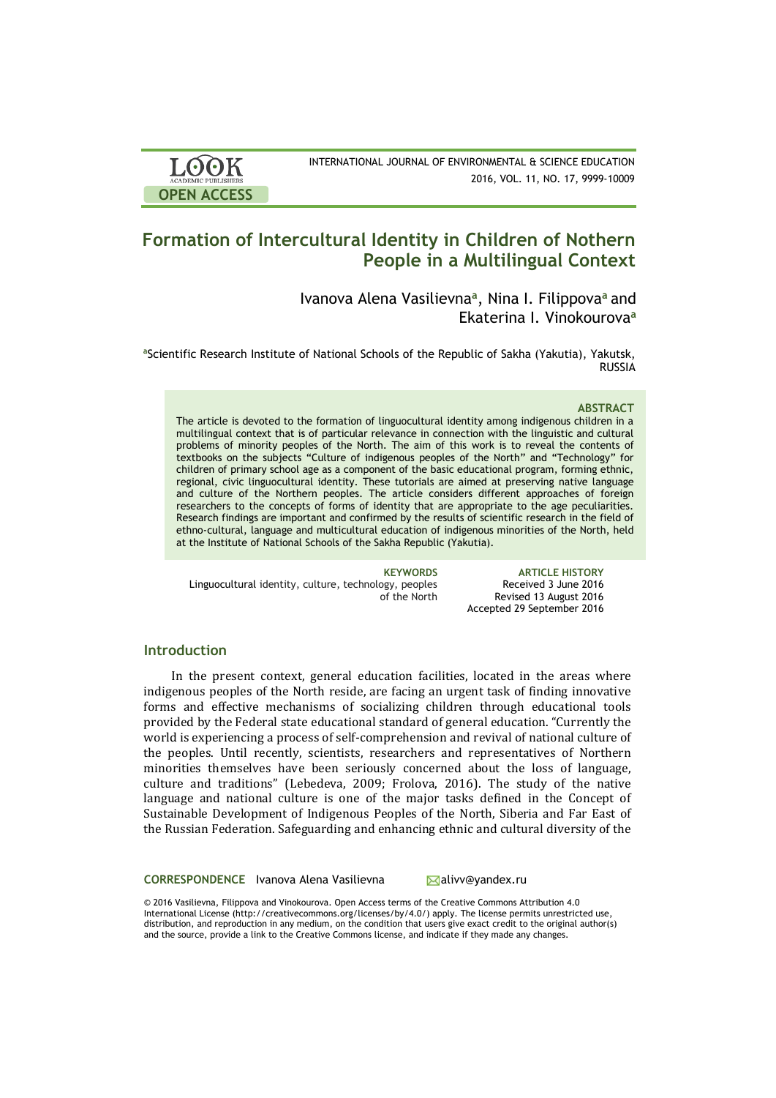

# **Formation of Intercultural Identity in Children of Nothern People in a Multilingual Context**

Ivanova Alena Vasilievna**<sup>a</sup>** , Nina I. Filippova**<sup>a</sup>**and Ekaterina I. Vinokourovа **a**

**<sup>a</sup>**Scientific Research Institute of National Schools of the Republic of Sakha (Yakutia), Yakutsk, RUSSIA

#### **ABSTRACT**

The article is devoted to the formation of linguocultural identity among indigenous children in a multilingual context that is of particular relevance in connection with the linguistic and cultural problems of minority peoples of the North. The aim of this work is to reveal the contents of textbooks on the subjects "Culture of indigenous peoples of the North" and "Technology" for children of primary school age as a component of the basic educational program, forming ethnic, regional, civic linguocultural identity. These tutorials are aimed at preserving native language and culture of the Northern peoples. The article considers different approaches of foreign researchers to the concepts of forms of identity that are appropriate to the age peculiarities. Research findings are important and confirmed by the results of scientific research in the field of ethno-cultural, language and multicultural education of indigenous minorities of the North, held at the Institute of National Schools of the Sakha Republic (Yakutia).

Linguocultural identity, culture, technology, peoples of the North

**KEYWORDS ARTICLE HISTORY** Received 3 June 2016 Revised 13 August 2016 Accepted 29 September 2016

# **Introduction**

**OPEN ACCESS**

LOOK

In the present context, general education facilities, located in the areas where indigenous peoples of the North reside, are facing an urgent task of finding innovative forms and effective mechanisms of socializing children through educational tools provided by the Federal state educational standard of general education. "Currently the world is experiencing a process of self-comprehension and revival of national culture of the peoples. Until recently, scientists, researchers and representatives of Northern minorities themselves have been seriously concerned about the loss of language, culture and traditions" (Lebedeva, 2009; Frolova, 2016). The study of the native language and national culture is one of the major tasks defined in the Concept of Sustainable Development of Indigenous Peoples of the North, Siberia and Far East of the Russian Federation. Safeguarding and enhancing ethnic and cultural diversity of the

**CORRESPONDENCE** Ivanova Alena Vasilievna **Alixandex.ru** 

© 2016 Vasilievna, Filippova and Vinokourovа. Open Access terms of the Creative Commons Attribution 4.0 International License (http://creativecommons.org/licenses/by/4.0/) apply. The license permits unrestricted use, distribution, and reproduction in any medium, on the condition that users give exact credit to the original author(s) and the source, provide a link to the Creative Commons license, and indicate if they made any changes.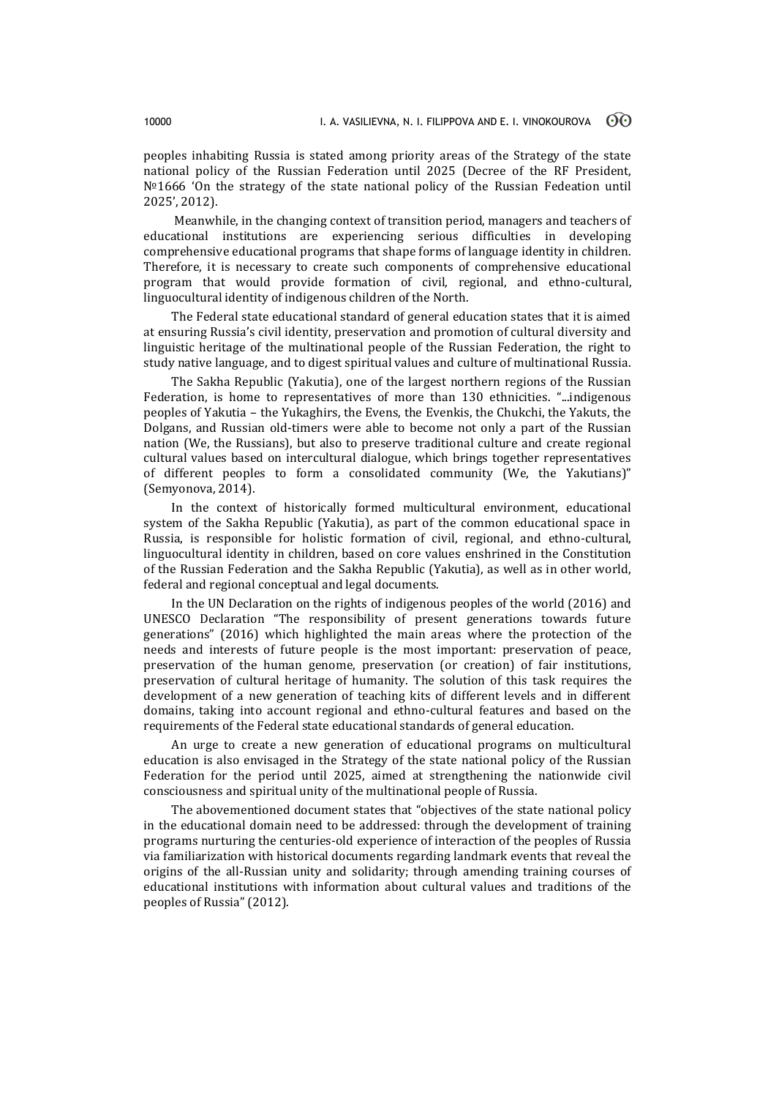peoples inhabiting Russia is stated among priority areas of the Strategy of the state national policy of the Russian Federation until 2025 (Decree of the RF President,  $N<sup>°</sup>1666$  'On the strategy of the state national policy of the Russian Fedeation until 2025', 2012).

Meanwhile, in the changing context of transition period, managers and teachers of educational institutions are experiencing serious difficulties in developing comprehensive educational programs that shape forms of language identity in children. Therefore, it is necessary to create such components of comprehensive educational program that would provide formation of civil, regional, and ethno-cultural, linguocultural identity of indigenous children of the North.

The Federal state educational standard of general education states that it is aimed at ensuring Russia's civil identity, preservation and promotion of cultural diversity and linguistic heritage of the multinational people of the Russian Federation, the right to study native language, and to digest spiritual values and culture of multinational Russia.

The Sakha Republic (Yakutia), one of the largest northern regions of the Russian Federation, is home to representatives of more than 130 ethnicities. "...indigenous peoples of Yakutia – the Yukaghirs, the Evens, the Evenkis, the Chukchi, the Yakuts, the Dolgans, and Russian old-timers were able to become not only a part of the Russian nation (We, the Russians), but also to preserve traditional culture and create regional cultural values based on intercultural dialogue, which brings together representatives of different peoples to form a consolidated community (We, the Yakutians)" (Semyonova, 2014).

In the context of historically formed multicultural environment, educational system of the Sakha Republic (Yakutia), as part of the common educational space in Russia, is responsible for holistic formation of civil, regional, and ethno-cultural, linguocultural identity in children, based on core values enshrined in the Constitution of the Russian Federation and the Sakha Republic (Yakutia), as well as in other world, federal and regional conceptual and legal documents.

In the UN Declaration on the rights of indigenous peoples of the world (2016) and UNESCO Declaration "The responsibility of present generations towards future generations" (2016) which highlighted the main areas where the protection of the needs and interests of future people is the most important: preservation of peace, preservation of the human genome, preservation (or creation) of fair institutions, preservation of cultural heritage of humanity. The solution of this task requires the development of a new generation of teaching kits of different levels and in different domains, taking into account regional and ethno-cultural features and based on the requirements of the Federal state educational standards of general education.

An urge to create a new generation of educational programs on multicultural education is also envisaged in the Strategy of the state national policy of the Russian Federation for the period until 2025, aimed at strengthening the nationwide civil consciousness and spiritual unity of the multinational people of Russia.

The abovementioned document states that "objectives of the state national policy in the educational domain need to be addressed: through the development of training programs nurturing the centuries-old experience of interaction of the peoples of Russia via familiarization with historical documents regarding landmark events that reveal the origins of the all-Russian unity and solidarity; through amending training courses of educational institutions with information about cultural values and traditions of the peoples of Russia" (2012).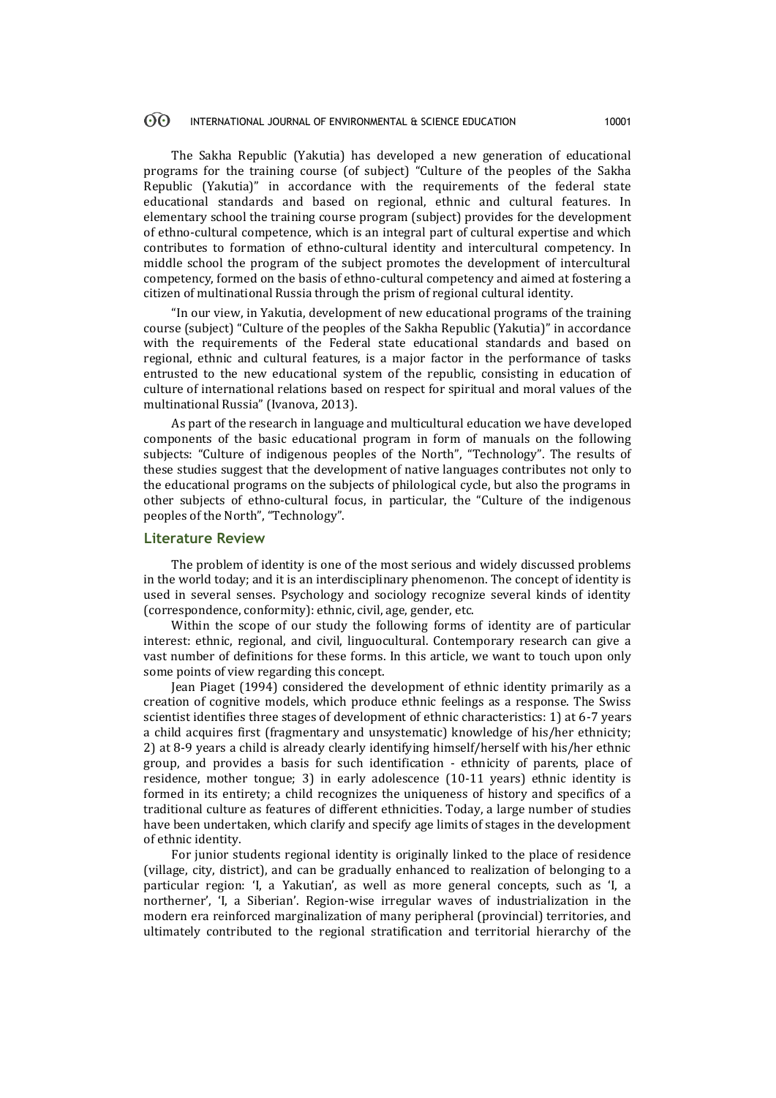#### $\odot$ INTERNATIONAL JOURNAL OF ENVIRONMENTAL & SCIENCE EDUCATION 10001

The Sakha Republic (Yakutia) has developed a new generation of educational programs for the training course (of subject) "Culture of the peoples of the Sakha Republic (Yakutia)" in accordance with the requirements of the federal state educational standards and based on regional, ethnic and cultural features. In elementary school the training course program (subject) provides for the development of ethno-cultural competence, which is an integral part of cultural expertise and which contributes to formation of ethno-cultural identity and intercultural competency. In middle school the program of the subject promotes the development of intercultural competency, formed on the basis of ethno-cultural competency and aimed at fostering a citizen of multinational Russia through the prism of regional cultural identity.

"In our view, in Yakutia, development of new educational programs of the training course (subject) "Culture of the peoples of the Sakha Republic (Yakutia)" in accordance with the requirements of the Federal state educational standards and based on regional, ethnic and cultural features, is a major factor in the performance of tasks entrusted to the new educational system of the republic, consisting in education of culture of international relations based on respect for spiritual and moral values of the multinational Russia" (Ivanova, 2013).

As part of the research in language and multicultural education we have developed components of the basic educational program in form of manuals on the following subjects: "Culture of indigenous peoples of the North", "Technology". The results of these studies suggest that the development of native languages contributes not only to the educational programs on the subjects of philological cycle, but also the programs in other subjects of ethno-cultural focus, in particular, the "Culture of the indigenous peoples of the North", "Technology".

# **Literature Review**

The problem of identity is one of the most serious and widely discussed problems in the world today; and it is an interdisciplinary phenomenon. The concept of identity is used in several senses. Psychology and sociology recognize several kinds of identity (correspondence, conformity): ethnic, civil, age, gender, etc.

Within the scope of our study the following forms of identity are of particular interest: ethnic, regional, and civil, linguocultural. Contemporary research can give a vast number of definitions for these forms. In this article, we want to touch upon only some points of view regarding this concept.

Jean Piaget (1994) considered the development of ethnic identity primarily as a creation of cognitive models, which produce ethnic feelings as a response. The Swiss scientist identifies three stages of development of ethnic characteristics: 1) at 6-7 years a child acquires first (fragmentary and unsystematic) knowledge of his/her ethnicity; 2) at 8-9 years a child is already clearly identifying himself/herself with his/her ethnic group, and provides a basis for such identification - ethnicity of parents, place of residence, mother tongue; 3) in early adolescence (10-11 years) ethnic identity is formed in its entirety; a child recognizes the uniqueness of history and specifics of a traditional culture as features of different ethnicities. Today, a large number of studies have been undertaken, which clarify and specify age limits of stages in the development of ethnic identity.

For junior students regional identity is originally linked to the place of residence (village, city, district), and can be gradually enhanced to realization of belonging to a particular region: 'I, a Yakutian', as well as more general concepts, such as 'I, a northerner', 'I, a Siberian'. Region-wise irregular waves of industrialization in the modern era reinforced marginalization of many peripheral (provincial) territories, and ultimately contributed to the regional stratification and territorial hierarchy of the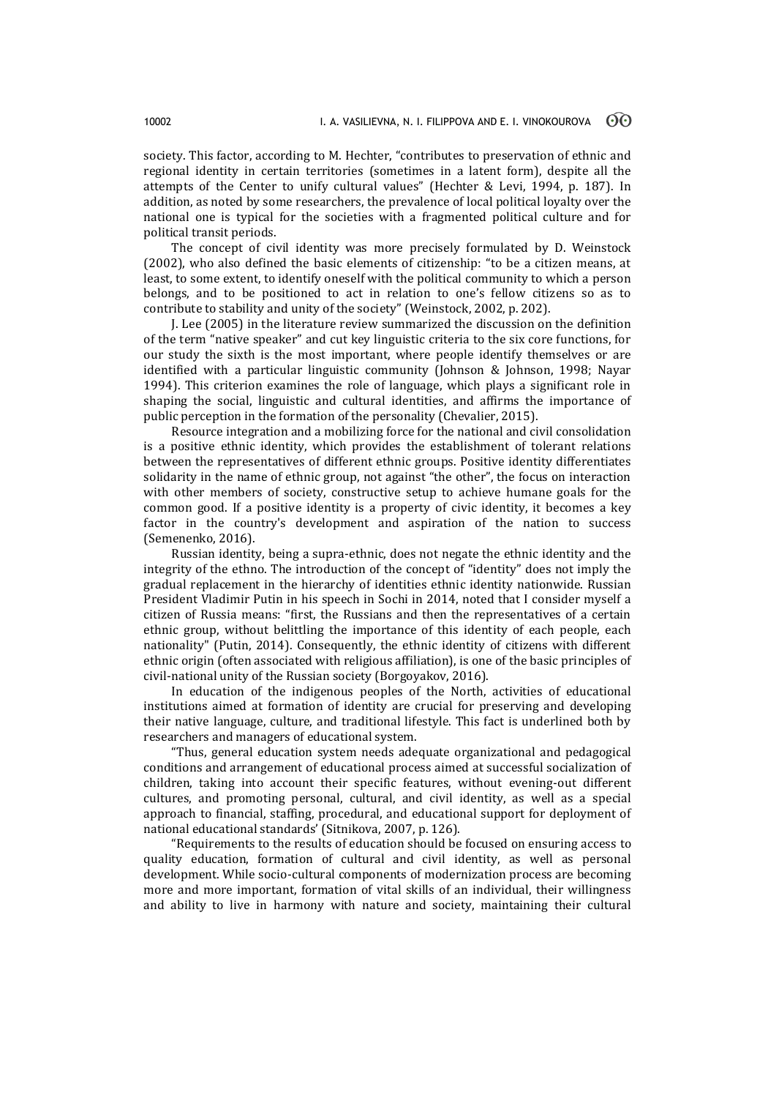society. This factor, according to M. Hechter, "contributes to preservation of ethnic and regional identity in certain territories (sometimes in a latent form), despite all the attempts of the Center to unify cultural values" (Hechter & Levi, 1994, p. 187). In addition, as noted by some researchers, the prevalence of local political loyalty over the national one is typical for the societies with a fragmented political culture and for political transit periods.

The concept of civil identity was more precisely formulated by D. Weinstock (2002), who also defined the basic elements of citizenship: "to be a citizen means, at least, to some extent, to identify oneself with the political community to which a person belongs, and to be positioned to act in relation to one's fellow citizens so as to contribute to stability and unity of the society" (Weinstock, 2002, p. 202).

J. Lee (2005) in the literature review summarized the discussion on the definition of the term "native speaker" and cut key linguistic criteria to the six core functions, for our study the sixth is the most important, where people identify themselves or are identified with a particular linguistic community (Johnson & Johnson, 1998; Nayar 1994). This criterion examines the role of language, which plays a significant role in shaping the social, linguistic and cultural identities, and affirms the importance of public perception in the formation of the personality (Chevalier, 2015).

Resource integration and a mobilizing force for the national and civil consolidation is a positive ethnic identity, which provides the establishment of tolerant relations between the representatives of different ethnic groups. Positive identity differentiates solidarity in the name of ethnic group, not against "the other", the focus on interaction with other members of society, constructive setup to achieve humane goals for the common good. If a positive identity is a property of civic identity, it becomes a key factor in the country's development and aspiration of the nation to success (Semenenko, 2016).

Russian identity, being a supra-ethnic, does not negate the ethnic identity and the integrity of the ethno. The introduction of the concept of "identity" does not imply the gradual replacement in the hierarchy of identities ethnic identity nationwide. Russian President Vladimir Putin in his speech in Sochi in 2014, noted that I consider myself a citizen of Russia means: "first, the Russians and then the representatives of a certain ethnic group, without belittling the importance of this identity of each people, each nationality" (Putin, 2014). Consequently, the ethnic identity of citizens with different ethnic origin (often associated with religious affiliation), is one of the basic principles of civil-national unity of the Russian society (Borgoyakov, 2016).

In education of the indigenous peoples of the North, activities of educational institutions aimed at formation of identity are crucial for preserving and developing their native language, culture, and traditional lifestyle. This fact is underlined both by researchers and managers of educational system.

"Thus, general education system needs adequate organizational and pedagogical conditions and arrangement of educational process aimed at successful socialization of children, taking into account their specific features, without evening-out different cultures, and promoting personal, cultural, and civil identity, as well as a special approach to financial, staffing, procedural, and educational support for deployment of national educational standards' (Sitnikova, 2007, p. 126).

"Requirements to the results of education should be focused on ensuring access to quality education, formation of cultural and civil identity, as well as personal development. While socio-cultural components of modernization process are becoming more and more important, formation of vital skills of an individual, their willingness and ability to live in harmony with nature and society, maintaining their cultural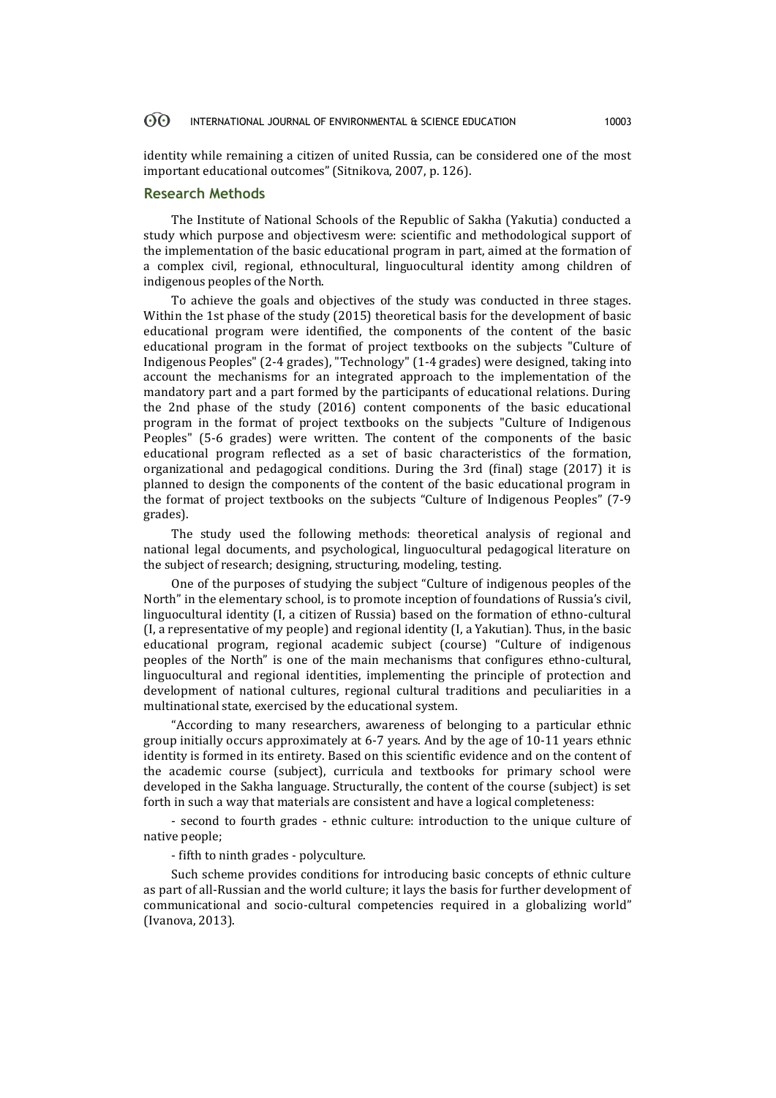#### 60 INTERNATIONAL JOURNAL OF ENVIRONMENTAL & SCIENCE EDUCATION 10003

identity while remaining a citizen of united Russia, can be considered one of the most important educational outcomes" (Sitnikova, 2007, p. 126).

## **Research Methods**

The Institute of National Schools of the Republic of Sakha (Yakutia) conducted a study which purpose and objectivesm were: scientific and methodological support of the implementation of the basic educational program in part, aimed at the formation of a complex civil, regional, ethnocultural, linguocultural identity among children of indigenous peoples of the North.

To achieve the goals and objectives of the study was conducted in three stages. Within the 1st phase of the study (2015) theoretical basis for the development of basic educational program were identified, the components of the content of the basic educational program in the format of project textbooks on the subjects "Culture of Indigenous Peoples" (2-4 grades), "Technology" (1-4 grades) were designed, taking into account the mechanisms for an integrated approach to the implementation of the mandatory part and a part formed by the participants of educational relations. During the 2nd phase of the study (2016) content components of the basic educational program in the format of project textbooks on the subjects "Culture of Indigenous Peoples" (5-6 grades) were written. The content of the components of the basic educational program reflected as a set of basic characteristics of the formation, organizational and pedagogical conditions. During the 3rd (final) stage (2017) it is planned to design the components of the content of the basic educational program in the format of project textbooks on the subjects "Culture of Indigenous Peoples" (7-9 grades).

The study used the following methods: theoretical analysis of regional and national legal documents, and psychological, linguocultural pedagogical literature on the subject of research; designing, structuring, modeling, testing.

One of the purposes of studying the subject "Culture of indigenous peoples of the North" in the elementary school, is to promote inception of foundations of Russia's civil, linguocultural identity (I, a citizen of Russia) based on the formation of ethno-cultural (I, a representative of my people) and regional identity (I, a Yakutian). Thus, in the basic educational program, regional academic subject (course) "Culture of indigenous peoples of the North" is one of the main mechanisms that configures ethno-cultural, linguocultural and regional identities, implementing the principle of protection and development of national cultures, regional cultural traditions and peculiarities in a multinational state, exercised by the educational system.

"According to many researchers, awareness of belonging to a particular ethnic group initially occurs approximately at 6-7 years. And by the age of 10-11 years ethnic identity is formed in its entirety. Based on this scientific evidence and on the content of the academic course (subject), curricula and textbooks for primary school were developed in the Sakha language. Structurally, the content of the course (subject) is set forth in such a way that materials are consistent and have a logical completeness:

- second to fourth grades - ethnic culture: introduction to the unique culture of native people;

- fifth to ninth grades - polyculture.

Such scheme provides conditions for introducing basic concepts of ethnic culture as part of all-Russian and the world culture; it lays the basis for further development of communicational and socio-cultural competencies required in a globalizing world" (Ivanova, 2013).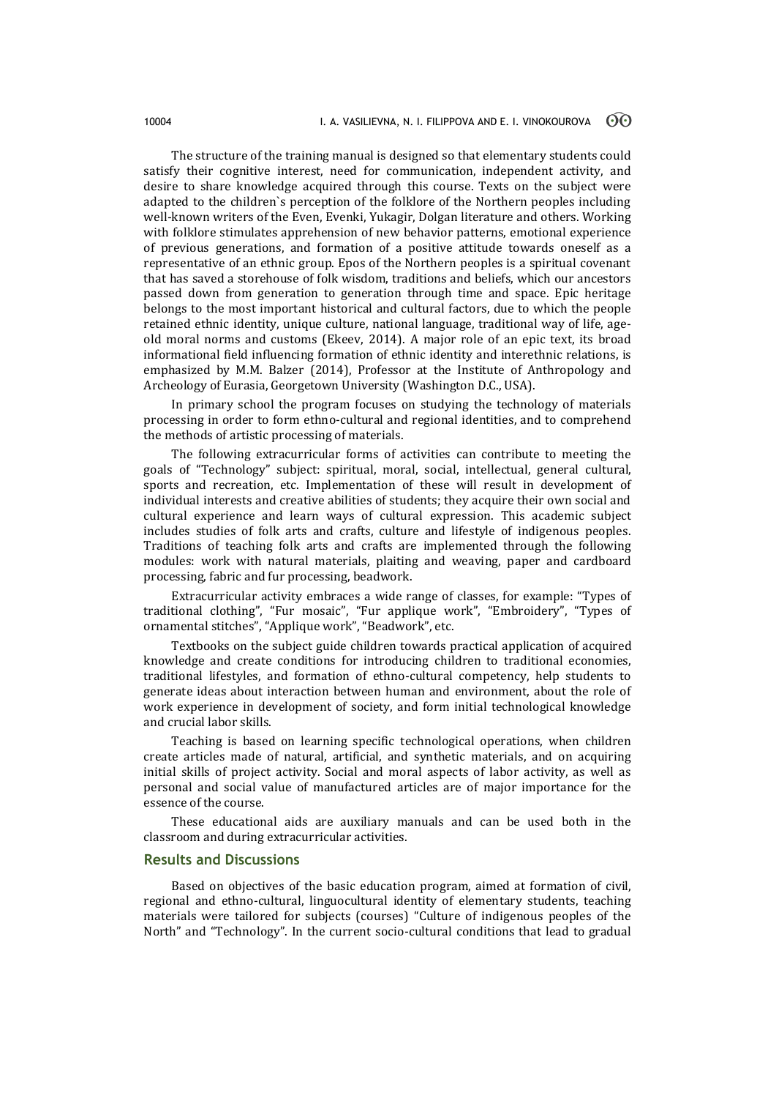The structure of the training manual is designed so that elementary students could satisfy their cognitive interest, need for communication, independent activity, and desire to share knowledge acquired through this course. Texts on the subject were adapted to the children`s perception of the folklore of the Northern peoples including well-known writers of the Even, Evenki, Yukagir, Dolgan literature and others. Working with folklore stimulates apprehension of new behavior patterns, emotional experience of previous generations, and formation of a positive attitude towards oneself as a representative of an ethnic group. Epos of the Northern peoples is a spiritual covenant that has saved a storehouse of folk wisdom, traditions and beliefs, which our ancestors passed down from generation to generation through time and space. Epic heritage belongs to the most important historical and cultural factors, due to which the people retained ethnic identity, unique culture, national language, traditional way of life, ageold moral norms and customs (Ekeev, 2014). A major role of an epic text, its broad informational field influencing formation of ethnic identity and interethnic relations, is emphasized by M.M. Balzer (2014), Professor at the Institute of Anthropology and Archeology of Eurasia, Georgetown University (Washington D.C., USA).

In primary school the program focuses on studying the technology of materials processing in order to form ethno-cultural and regional identities, and to comprehend the methods of artistic processing of materials.

The following extracurricular forms of activities can contribute to meeting the goals of "Technology" subject: spiritual, moral, social, intellectual, general cultural, sports and recreation, etc. Implementation of these will result in development of individual interests and creative abilities of students; they acquire their own social and cultural experience and learn ways of cultural expression. This academic subject includes studies of folk arts and crafts, culture and lifestyle of indigenous peoples. Traditions of teaching folk arts and crafts are implemented through the following modules: work with natural materials, plaiting and weaving, paper and cardboard processing, fabric and fur processing, beadwork.

Extracurricular activity embraces a wide range of classes, for example: "Types of traditional clothing", "Fur mosaic", "Fur applique work", "Embroidery", "Types of ornamental stitches", "Applique work", "Beadwork", etc.

Textbooks on the subject guide children towards practical application of acquired knowledge and create conditions for introducing children to traditional economies, traditional lifestyles, and formation of ethno-cultural competency, help students to generate ideas about interaction between human and environment, about the role of work experience in development of society, and form initial technological knowledge and crucial labor skills.

Teaching is based on learning specific technological operations, when children create articles made of natural, artificial, and synthetic materials, and on acquiring initial skills of project activity. Social and moral aspects of labor activity, as well as personal and social value of manufactured articles are of major importance for the essence of the course.

These educational aids are auxiliary manuals and can be used both in the classroom and during extracurricular activities.

#### **Results and Discussions**

Based on objectives of the basic education program, aimed at formation of civil, regional and ethno-cultural, linguocultural identity of elementary students, teaching materials were tailored for subjects (courses) "Culture of indigenous peoples of the North" and "Technology". In the current socio-cultural conditions that lead to gradual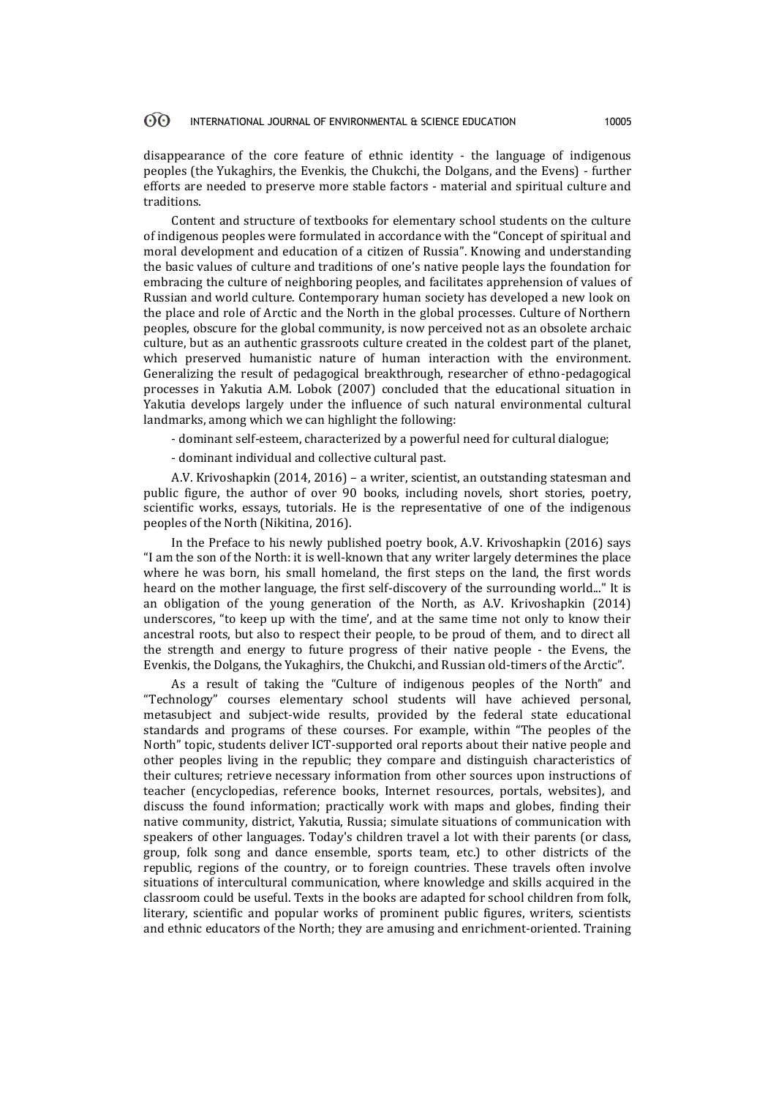#### 60 INTERNATIONAL JOURNAL OF ENVIRONMENTAL & SCIENCE EDUCATION 10005

disappearance of the core feature of ethnic identity - the language of indigenous peoples (the Yukaghirs, the Evenkis, the Chukchi, the Dolgans, and the Evens) - further efforts are needed to preserve more stable factors - material and spiritual culture and traditions.

Content and structure of textbooks for elementary school students on the culture of indigenous peoples were formulated in accordance with the "Concept of spiritual and moral development and education of a citizen of Russia". Knowing and understanding the basic values of culture and traditions of one's native people lays the foundation for embracing the culture of neighboring peoples, and facilitates apprehension of values of Russian and world culture. Contemporary human society has developed a new look on the place and role of Arctic and the North in the global processes. Culture of Northern peoples, obscure for the global community, is now perceived not as an obsolete archaic culture, but as an authentic grassroots culture created in the coldest part of the planet, which preserved humanistic nature of human interaction with the environment. Generalizing the result of pedagogical breakthrough, researcher of ethno-pedagogical processes in Yakutia A.M. Lobok (2007) concluded that the educational situation in Yakutia develops largely under the influence of such natural environmental cultural landmarks, among which we can highlight the following:

- dominant self-esteem, characterized by a powerful need for cultural dialogue;

- dominant individual and collective cultural past.

A.V. Krivoshapkin (2014, 2016) – a writer, scientist, an outstanding statesman and public figure, the author of over 90 books, including novels, short stories, poetry, scientific works, essays, tutorials. He is the representative of one of the indigenous peoples of the North (Nikitina, 2016).

In the Preface to his newly published poetry book, A.V. Krivoshapkin (2016) says "I am the son of the North: it is well-known that any writer largely determines the place where he was born, his small homeland, the first steps on the land, the first words heard on the mother language, the first self-discovery of the surrounding world..." It is an obligation of the young generation of the North, as A.V. Krivoshapkin (2014) underscores, "to keep up with the time', and at the same time not only to know their ancestral roots, but also to respect their people, to be proud of them, and to direct all the strength and energy to future progress of their native people - the Evens, the Evenkis, the Dolgans, the Yukaghirs, the Chukchi, and Russian old-timers of the Arctic".

As a result of taking the "Culture of indigenous peoples of the North" and "Technology" courses elementary school students will have achieved personal, metasubject and subject-wide results, provided by the federal state educational standards and programs of these courses. For example, within "The peoples of the North" topic, students deliver ICT-supported oral reports about their native people and other peoples living in the republic; they compare and distinguish characteristics of their cultures; retrieve necessary information from other sources upon instructions of teacher (encyclopedias, reference books, Internet resources, portals, websites), and discuss the found information; practically work with maps and globes, finding their native community, district, Yakutia, Russia; simulate situations of communication with speakers of other languages. Today's children travel a lot with their parents (or class, group, folk song and dance ensemble, sports team, etc.) to other districts of the republic, regions of the country, or to foreign countries. These travels often involve situations of intercultural communication, where knowledge and skills acquired in the classroom could be useful. Texts in the books are adapted for school children from folk, literary, scientific and popular works of prominent public figures, writers, scientists and ethnic educators of the North; they are amusing and enrichment-oriented. Training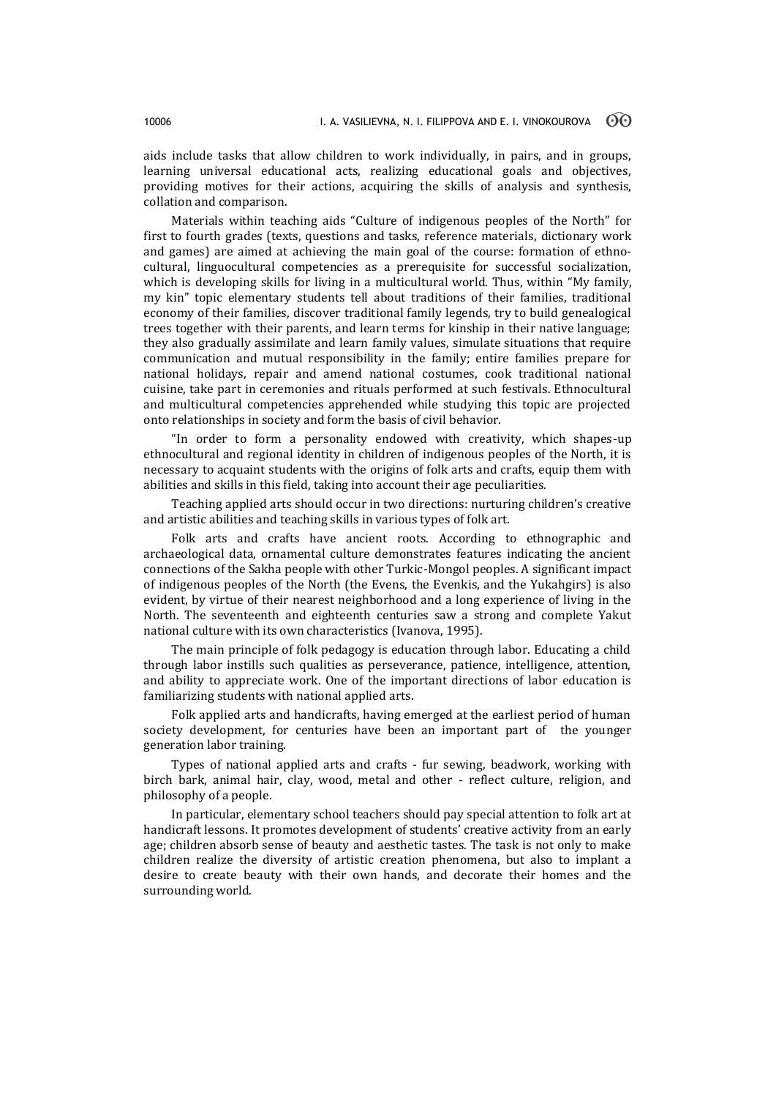aids include tasks that allow children to work individually, in pairs, and in groups, learning universal educational acts, realizing educational goals and objectives, providing motives for their actions, acquiring the skills of analysis and synthesis, collation and comparison.

Materials within teaching aids "Culture of indigenous peoples of the North" for first to fourth grades (texts, questions and tasks, reference materials, dictionary work and games) are aimed at achieving the main goal of the course: formation of ethnocultural, linguocultural competencies as a prerequisite for successful socialization, which is developing skills for living in a multicultural world. Thus, within "My family, my kin" topic elementary students tell about traditions of their families, traditional economy of their families, discover traditional family legends, try to build genealogical trees together with their parents, and learn terms for kinship in their native language; they also gradually assimilate and learn family values, simulate situations that require communication and mutual responsibility in the family; entire families prepare for national holidays, repair and amend national costumes, cook traditional national cuisine, take part in ceremonies and rituals performed at such festivals. Ethnocultural and multicultural competencies apprehended while studying this topic are projected onto relationships in society and form the basis of civil behavior.

"In order to form a personality endowed with creativity, which shapes-up ethnocultural and regional identity in children of indigenous peoples of the North, it is necessary to acquaint students with the origins of folk arts and crafts, equip them with abilities and skills in this field, taking into account their age peculiarities.

Teaching applied arts should occur in two directions: nurturing children's creative and artistic abilities and teaching skills in various types of folk art.

Folk arts and crafts have ancient roots. According to ethnographic and archaeological data, ornamental culture demonstrates features indicating the ancient connections of the Sakha people with other Turkic-Mongol peoples. A significant impact of indigenous peoples of the North (the Evens, the Evenkis, and the Yukahgirs) is also evident, by virtue of their nearest neighborhood and a long experience of living in the North. The seventeenth and eighteenth centuries saw a strong and complete Yakut national culture with its own characteristics (Ivanova, 1995).

The main principle of folk pedagogy is education through labor. Educating a child through labor instills such qualities as perseverance, patience, intelligence, attention, and ability to appreciate work. One of the important directions of labor education is familiarizing students with national applied arts.

Folk applied arts and handicrafts, having emerged at the earliest period of human society development, for centuries have been an important part of the younger generation labor training.

Types of national applied arts and crafts - fur sewing, beadwork, working with birch bark, animal hair, clay, wood, metal and other - reflect culture, religion, and philosophy of a people.

In particular, elementary school teachers should pay special attention to folk art at handicraft lessons. It promotes development of students' creative activity from an early age; children absorb sense of beauty and aesthetic tastes. The task is not only to make children realize the diversity of artistic creation phenomena, but also to implant a desire to create beauty with their own hands, and decorate their homes and the surrounding world.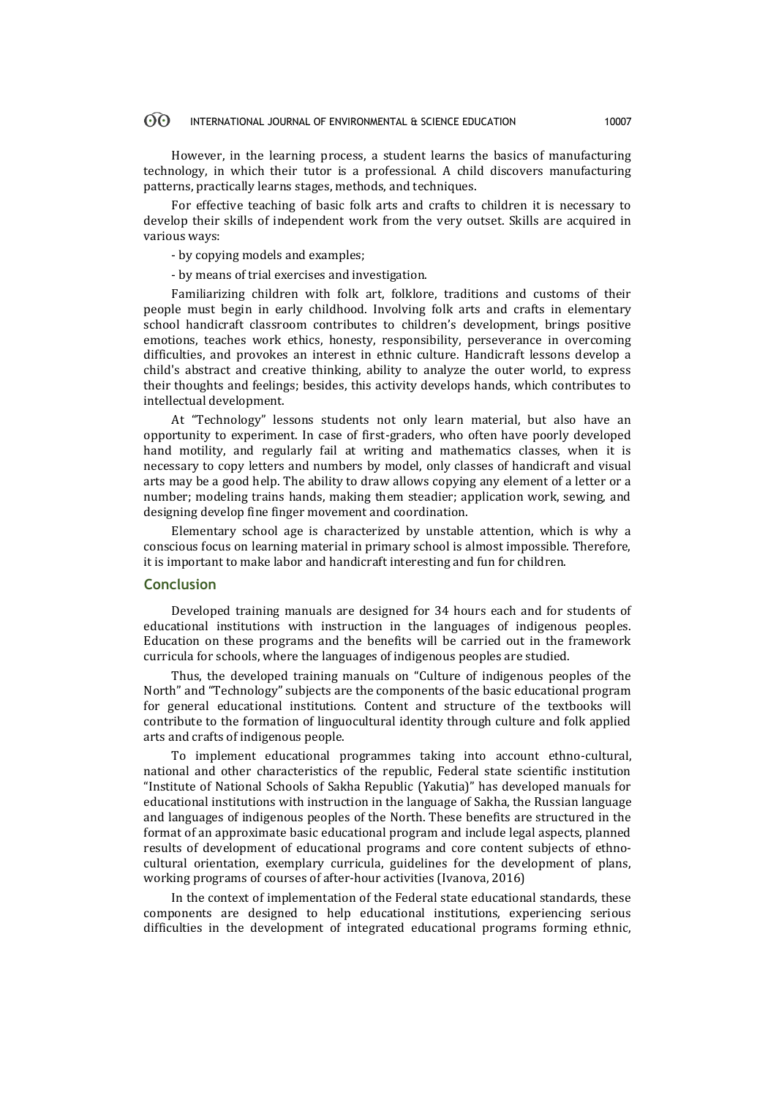#### $\odot$ INTERNATIONAL JOURNAL OF ENVIRONMENTAL & SCIENCE EDUCATION 10007

However, in the learning process, a student learns the basics of manufacturing technology, in which their tutor is a professional. A child discovers manufacturing patterns, practically learns stages, methods, and techniques.

For effective teaching of basic folk arts and crafts to children it is necessary to develop their skills of independent work from the very outset. Skills are acquired in various ways:

- by copying models and examples;

- by means of trial exercises and investigation.

Familiarizing children with folk art, folklore, traditions and customs of their people must begin in early childhood. Involving folk arts and crafts in elementary school handicraft classroom contributes to children's development, brings positive emotions, teaches work ethics, honesty, responsibility, perseverance in overcoming difficulties, and provokes an interest in ethnic culture. Handicraft lessons develop a child's abstract and creative thinking, ability to analyze the outer world, to express their thoughts and feelings; besides, this activity develops hands, which contributes to intellectual development.

At "Technology" lessons students not only learn material, but also have an opportunity to experiment. In case of first-graders, who often have poorly developed hand motility, and regularly fail at writing and mathematics classes, when it is necessary to copy letters and numbers by model, only classes of handicraft and visual arts may be a good help. The ability to draw allows copying any element of a letter or a number; modeling trains hands, making them steadier; application work, sewing, and designing develop fine finger movement and coordination.

Elementary school age is characterized by unstable attention, which is why a conscious focus on learning material in primary school is almost impossible. Therefore, it is important to make labor and handicraft interesting and fun for children.

### **Conclusion**

Developed training manuals are designed for 34 hours each and for students of educational institutions with instruction in the languages of indigenous peoples. Education on these programs and the benefits will be carried out in the framework curricula for schools, where the languages of indigenous peoples are studied.

Thus, the developed training manuals on "Culture of indigenous peoples of the North" and "Technology" subjects are the components of the basic educational program for general educational institutions. Content and structure of the textbooks will contribute to the formation of linguocultural identity through culture and folk applied arts and crafts of indigenous people.

To implement educational programmes taking into account ethno-cultural, national and other characteristics of the republic, Federal state scientific institution "Institute of National Schools of Sakha Republic (Yakutia)" has developed manuals for educational institutions with instruction in the language of Sakha, the Russian language and languages of indigenous peoples of the North. These benefits are structured in the format of an approximate basic educational program and include legal aspects, planned results of development of educational programs and core content subjects of ethnocultural orientation, exemplary curricula, guidelines for the development of plans, working programs of courses of after-hour activities (Ivanova, 2016)

In the context of implementation of the Federal state educational standards, these components are designed to help educational institutions, experiencing serious difficulties in the development of integrated educational programs forming ethnic,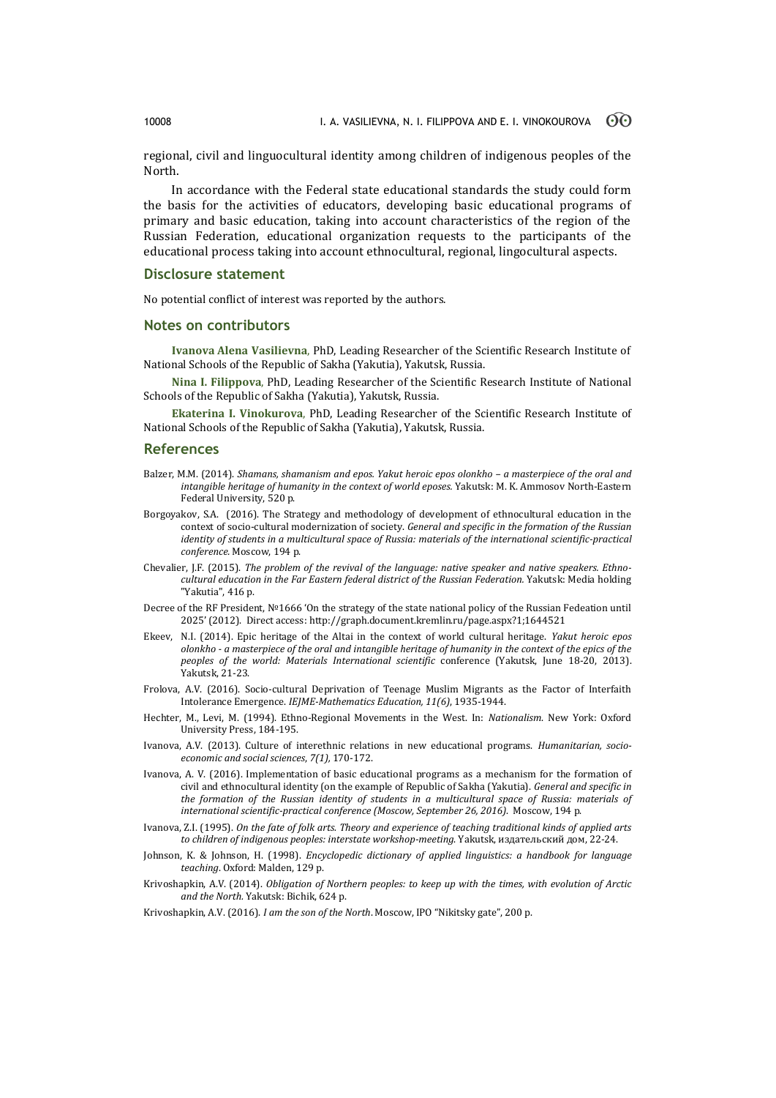regional, civil and linguocultural identity among children of indigenous peoples of the North.

In accordance with the Federal state educational standards the study could form the basis for the activities of educators, developing basic educational programs of primary and basic education, taking into account characteristics of the region of the Russian Federation, educational organization requests to the participants of the educational process taking into account ethnocultural, regional, lingocultural aspects.

### **Disclosure statement**

No potential conflict of interest was reported by the authors.

### **Notes on contributors**

**Ivanova Alena Vasilievna**, PhD, Leading Researcher of the Scientific Research Institute of National Schools of the Republic of Sakha (Yakutia), Yakutsk, Russia.

**Nina I. Filippova**, PhD, Leading Researcher of the Scientific Research Institute of National Schools of the Republic of Sakha (Yakutia), Yakutsk, Russia.

**Ekaterina I. Vinokurova**, PhD, Leading Researcher of the Scientific Research Institute of National Schools of the Republic of Sakha (Yakutia), Yakutsk, Russia.

### **References**

- Balzer, M.M. (2014). *Shamans, shamanism and epos. Yakut heroic epos olonkho – a masterpiece of the oral and intangible heritage of humanity in the context of world eposes.* Yakutsk: M. K. Ammosov North-Eastern Federal University, 520 p.
- Borgoyakov, S.A. (2016). Тhe Strategy and methodology of development of ethnocultural education in the context of socio-cultural modernization of society. *General and specific in the formation of the Russian identity of students in a multicultural space of Russia: materials of the international scientific-practical conference.* Moscow, 194 p.
- Chevalier, J.F. (2015). *The problem of the revival of the language: native speaker and native speakers. Ethnocultural education in the Far Eastern federal district of the Russian Federation.* Yakutsk: Media holding "Yakutia", 416 p.
- Decree of the RF President, №1666 'On the strategy of the state national policy of the Russian Fedeation until 2025' (2012). Direct access: [http://graph.document.kremlin.ru/page.aspx?1;1644521](https://r.mail.yandex.net/url/xdXPSPyapgFKKkBKNrWj7g,1364360583/graph.document.kremlin.ru%2Fpage.aspx%3F1;1644521)
- Ekeev, N.I. (2014). Epic heritage of the Altai in the context of world cultural heritage. *Yakut heroic epos olonkho - a masterpiece of the oral and intangible heritage of humanity in the context of the epics of the peoples of the world: Materials International scientific* conference (Yakutsk, June 18-20, 2013). Yakutsk, 21-23.
- Frolovа, A.V. (2016). Socio-cultural Deprivation of Teenage Muslim Migrants as the Factor of Interfaith Intolerance Emergence. *IEJME-Mathematics Education, 11(6)*, 1935-1944.
- Hechter, M., Levi, M. (1994). Ethno-Regional Movements in the West. In: *Nationalism*. New York: Oxford University Press, 184-195.
- Ivanova, A.V. (2013). Culture of interethnic relations in new educational programs. *Humanitarian, socioeconomic and social sciences*, *7(1),* 170-172.
- Ivanova, A. V. (2016). Implementation of basic educational programs as a mechanism for the formation of civil and ethnocultural identity (on the example of Republic of Sakha (Yakutia). *General and specific in the formation of the Russian identity of students in a multicultural space of Russia: materials of international scientific-practical conference (Moscow, September 26, 2016)*. Moscow, 194 p.
- Ivanova, Z.I. (1995). *On the fate of folk arts. Theory and experience of teaching traditional kinds of applied arts to children of indigenous peoples: interstate workshop-meeting*. Yakutsk, издательский дом, 22-24.
- Johnson, K. & Johnson, H. (1998). *Encyclopedic dictionary of applied linguistics: a handbook for language teaching*. Oxford: Malden, 129 p.
- Krivoshapkin, A.V. (2014). *Obligation of Northern peoples: to keep up with the times, with evolution of Arctic and the North.* Yakutsk: Bichik, 624 p.
- Krivoshapkin, A.V. (2016). *I am the son of the North*. Moscow, IPO "Nikitsky gate", 200 p.